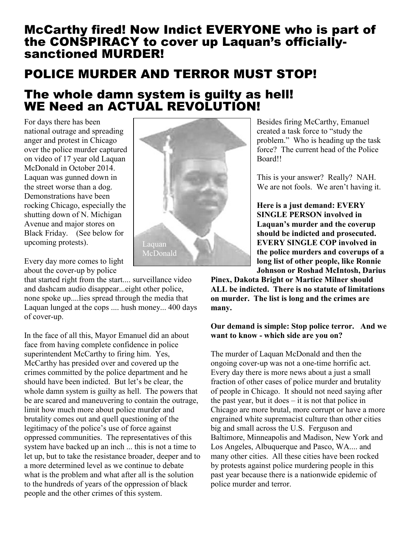## McCarthy fired! Now Indict EVERYONE who is part of the CONSPIRACY to cover up Laquan's officiallysanctioned MURDER!

## POLICE MURDER AND TERROR MUST STOP!

## The whole damn system is guilty as hell! WE Need an ACTUAL REVOLUTION!

For days there has been national outrage and spreading anger and protest in Chicago over the police murder captured on video of 17 year old Laquan McDonald in October 2014. Laquan was gunned down in the street worse than a dog. Demonstrations have been rocking Chicago, especially the shutting down of N. Michigan Avenue and major stores on Black Friday. (See below for upcoming protests).

Every day more comes to light about the cover-up by police

that started right from the start.... surveillance video and dashcam audio disappear...eight other police, none spoke up....lies spread through the media that Laquan lunged at the cops .... hush money... 400 days of cover-up.

In the face of all this, Mayor Emanuel did an about face from having complete confidence in police superintendent McCarthy to firing him. Yes, McCarthy has presided over and covered up the crimes committed by the police department and he should have been indicted. But let's be clear, the whole damn system is guilty as hell. The powers that be are scared and maneuvering to contain the outrage, limit how much more about police murder and brutality comes out and quell questioning of the legitimacy of the police's use of force against oppressed communities. The representatives of this system have backed up an inch ... this is not a time to let up, but to take the resistance broader, deeper and to a more determined level as we continue to debate what is the problem and what after all is the solution to the hundreds of years of the oppression of black people and the other crimes of this system.



Besides firing McCarthy, Emanuel created a task force to "study the problem." Who is heading up the task force? The current head of the Police Board!!

This is your answer? Really? NAH. We are not fools. We aren't having it.

**Here is a just demand: EVERY SINGLE PERSON involved in Laquan's murder and the coverup should be indicted and prosecuted. EVERY SINGLE COP involved in the police murders and coverups of a long list of other people, like Ronnie Johnson or Roshad McIntosh, Darius** 

**Pinex, Dakota Bright or Martice Milner should ALL be indicted. There is no statute of limitations on murder. The list is long and the crimes are many.**

## **Our demand is simple: Stop police terror. And we want to know - which side are you on?**

The murder of Laquan McDonald and then the ongoing cover-up was not a one-time horrific act. Every day there is more news about a just a small fraction of other cases of police murder and brutality of people in Chicago. It should not need saying after the past year, but it does – it is not that police in Chicago are more brutal, more corrupt or have a more engrained white supremacist culture than other cities big and small across the U.S. Ferguson and Baltimore, Minneapolis and Madison, New York and Los Angeles, Albuquerque and Pasco, WA.... and many other cities. All these cities have been rocked by protests against police murdering people in this past year because there is a nationwide epidemic of police murder and terror.